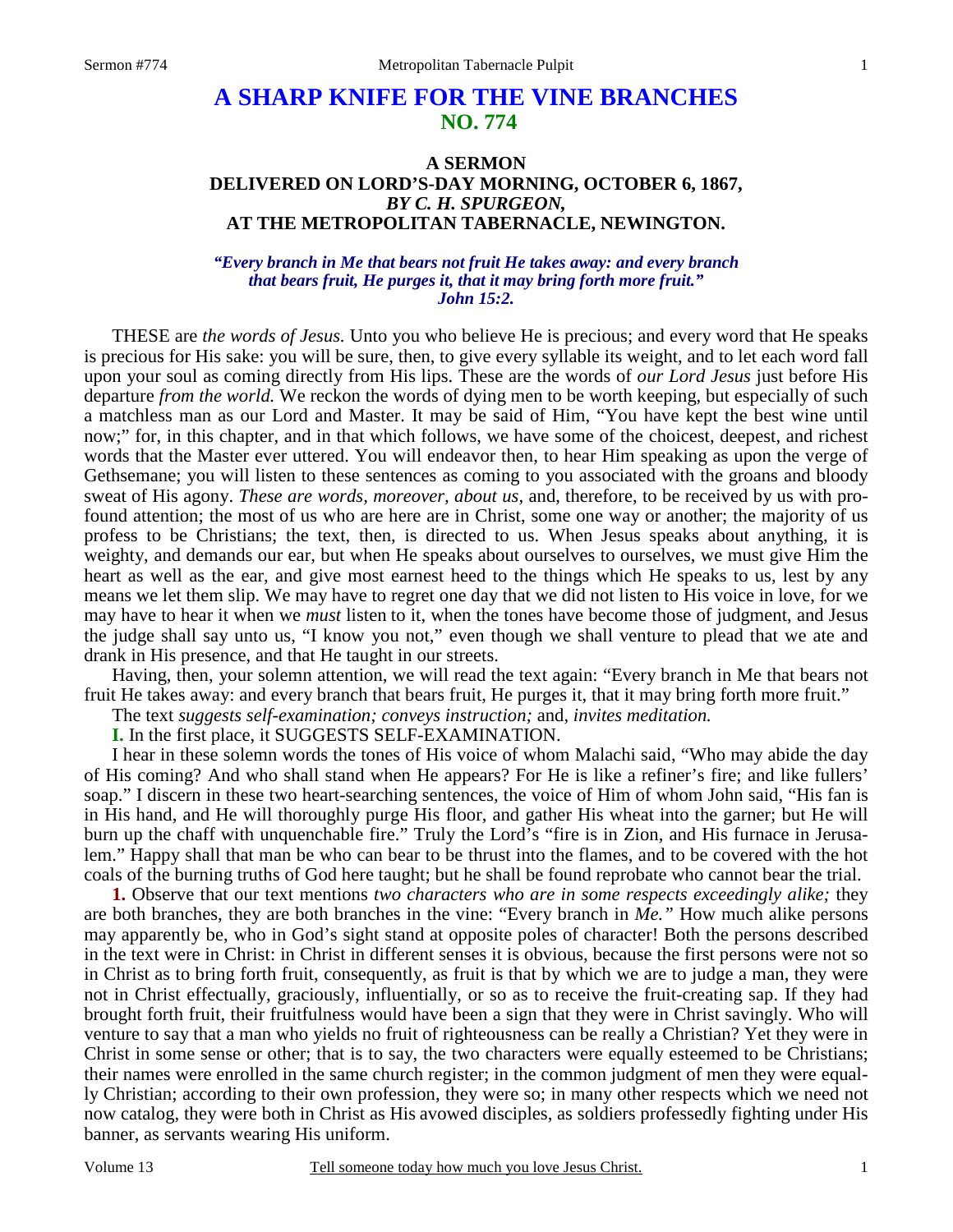## **A SHARP KNIFE FOR THE VINE BRANCHES NO. 774**

## **A SERMON DELIVERED ON LORD'S-DAY MORNING, OCTOBER 6, 1867,**  *BY C. H. SPURGEON,*  **AT THE METROPOLITAN TABERNACLE, NEWINGTON.**

## *"Every branch in Me that bears not fruit He takes away: and every branch that bears fruit, He purges it, that it may bring forth more fruit." John 15:2.*

THESE are *the words of Jesus.* Unto you who believe He is precious; and every word that He speaks is precious for His sake: you will be sure, then, to give every syllable its weight, and to let each word fall upon your soul as coming directly from His lips. These are the words of *our Lord Jesus* just before His departure *from the world.* We reckon the words of dying men to be worth keeping, but especially of such a matchless man as our Lord and Master. It may be said of Him, "You have kept the best wine until now;" for, in this chapter, and in that which follows, we have some of the choicest, deepest, and richest words that the Master ever uttered. You will endeavor then, to hear Him speaking as upon the verge of Gethsemane; you will listen to these sentences as coming to you associated with the groans and bloody sweat of His agony. *These are words, moreover, about us,* and, therefore, to be received by us with profound attention; the most of us who are here are in Christ, some one way or another; the majority of us profess to be Christians; the text, then, is directed to us. When Jesus speaks about anything, it is weighty, and demands our ear, but when He speaks about ourselves to ourselves, we must give Him the heart as well as the ear, and give most earnest heed to the things which He speaks to us, lest by any means we let them slip. We may have to regret one day that we did not listen to His voice in love, for we may have to hear it when we *must* listen to it, when the tones have become those of judgment, and Jesus the judge shall say unto us, "I know you not," even though we shall venture to plead that we ate and drank in His presence, and that He taught in our streets.

 Having, then, your solemn attention, we will read the text again: "Every branch in Me that bears not fruit He takes away: and every branch that bears fruit, He purges it, that it may bring forth more fruit."

The text *suggests self-examination; conveys instruction;* and, *invites meditation.*

**I.** In the first place, it SUGGESTS SELF-EXAMINATION.

 I hear in these solemn words the tones of His voice of whom Malachi said, "Who may abide the day of His coming? And who shall stand when He appears? For He is like a refiner's fire; and like fullers' soap." I discern in these two heart-searching sentences, the voice of Him of whom John said, "His fan is in His hand, and He will thoroughly purge His floor, and gather His wheat into the garner; but He will burn up the chaff with unquenchable fire." Truly the Lord's "fire is in Zion, and His furnace in Jerusalem." Happy shall that man be who can bear to be thrust into the flames, and to be covered with the hot coals of the burning truths of God here taught; but he shall be found reprobate who cannot bear the trial.

**1.** Observe that our text mentions *two characters who are in some respects exceedingly alike;* they are both branches, they are both branches in the vine: "Every branch in *Me."* How much alike persons may apparently be, who in God's sight stand at opposite poles of character! Both the persons described in the text were in Christ: in Christ in different senses it is obvious, because the first persons were not so in Christ as to bring forth fruit, consequently, as fruit is that by which we are to judge a man, they were not in Christ effectually, graciously, influentially, or so as to receive the fruit-creating sap. If they had brought forth fruit, their fruitfulness would have been a sign that they were in Christ savingly. Who will venture to say that a man who yields no fruit of righteousness can be really a Christian? Yet they were in Christ in some sense or other; that is to say, the two characters were equally esteemed to be Christians; their names were enrolled in the same church register; in the common judgment of men they were equally Christian; according to their own profession, they were so; in many other respects which we need not now catalog, they were both in Christ as His avowed disciples, as soldiers professedly fighting under His banner, as servants wearing His uniform.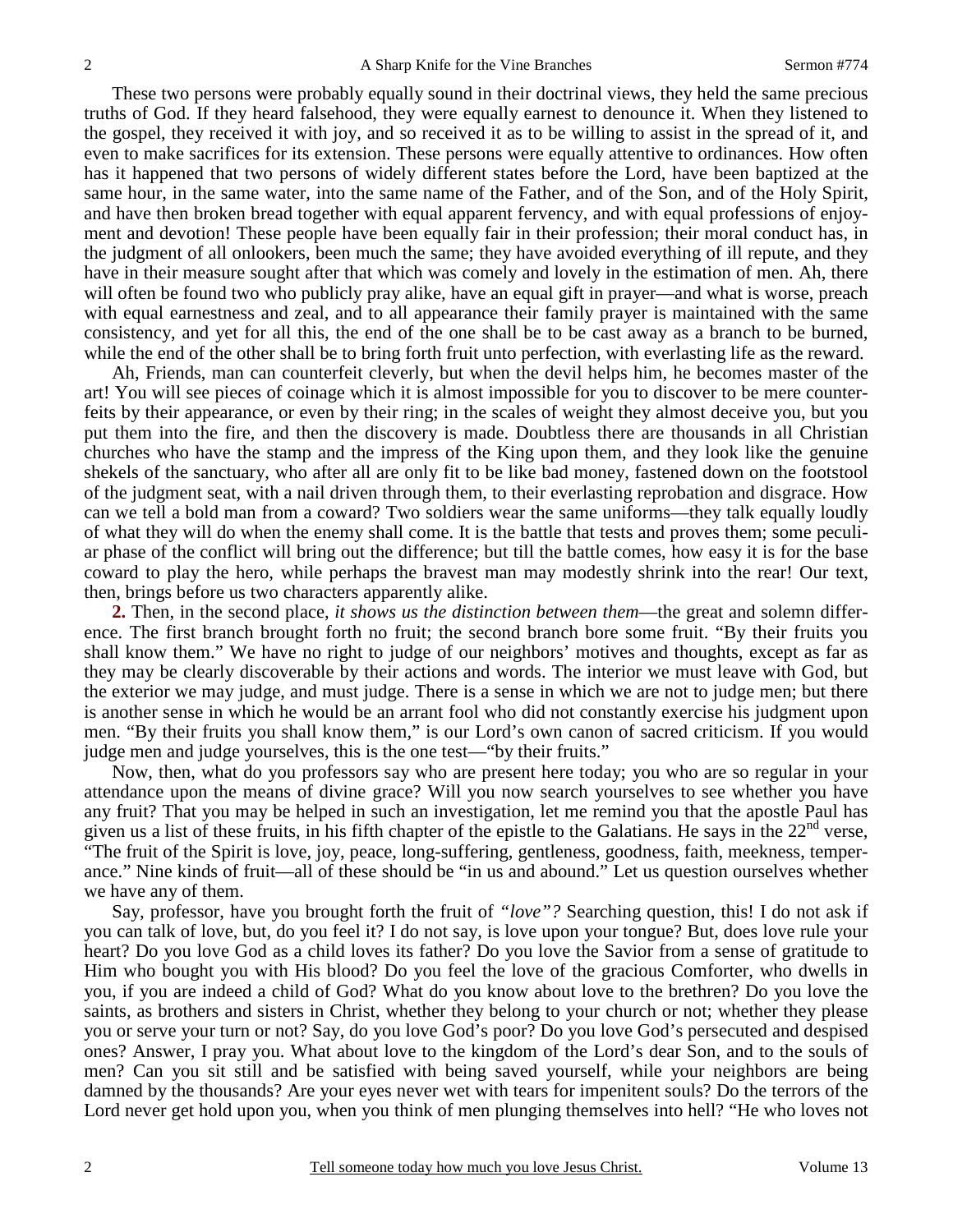These two persons were probably equally sound in their doctrinal views, they held the same precious truths of God. If they heard falsehood, they were equally earnest to denounce it. When they listened to the gospel, they received it with joy, and so received it as to be willing to assist in the spread of it, and even to make sacrifices for its extension. These persons were equally attentive to ordinances. How often has it happened that two persons of widely different states before the Lord, have been baptized at the same hour, in the same water, into the same name of the Father, and of the Son, and of the Holy Spirit, and have then broken bread together with equal apparent fervency, and with equal professions of enjoyment and devotion! These people have been equally fair in their profession; their moral conduct has, in the judgment of all onlookers, been much the same; they have avoided everything of ill repute, and they have in their measure sought after that which was comely and lovely in the estimation of men. Ah, there will often be found two who publicly pray alike, have an equal gift in prayer—and what is worse, preach with equal earnestness and zeal, and to all appearance their family prayer is maintained with the same consistency, and yet for all this, the end of the one shall be to be cast away as a branch to be burned, while the end of the other shall be to bring forth fruit unto perfection, with everlasting life as the reward.

 Ah, Friends, man can counterfeit cleverly, but when the devil helps him, he becomes master of the art! You will see pieces of coinage which it is almost impossible for you to discover to be mere counterfeits by their appearance, or even by their ring; in the scales of weight they almost deceive you, but you put them into the fire, and then the discovery is made. Doubtless there are thousands in all Christian churches who have the stamp and the impress of the King upon them, and they look like the genuine shekels of the sanctuary, who after all are only fit to be like bad money, fastened down on the footstool of the judgment seat, with a nail driven through them, to their everlasting reprobation and disgrace. How can we tell a bold man from a coward? Two soldiers wear the same uniforms—they talk equally loudly of what they will do when the enemy shall come. It is the battle that tests and proves them; some peculiar phase of the conflict will bring out the difference; but till the battle comes, how easy it is for the base coward to play the hero, while perhaps the bravest man may modestly shrink into the rear! Our text, then, brings before us two characters apparently alike.

**2.** Then, in the second place, *it shows us the distinction between them*—the great and solemn difference. The first branch brought forth no fruit; the second branch bore some fruit. "By their fruits you shall know them." We have no right to judge of our neighbors' motives and thoughts, except as far as they may be clearly discoverable by their actions and words. The interior we must leave with God, but the exterior we may judge, and must judge. There is a sense in which we are not to judge men; but there is another sense in which he would be an arrant fool who did not constantly exercise his judgment upon men. "By their fruits you shall know them," is our Lord's own canon of sacred criticism. If you would judge men and judge yourselves, this is the one test—"by their fruits."

 Now, then, what do you professors say who are present here today; you who are so regular in your attendance upon the means of divine grace? Will you now search yourselves to see whether you have any fruit? That you may be helped in such an investigation, let me remind you that the apostle Paul has given us a list of these fruits, in his fifth chapter of the epistle to the Galatians. He says in the  $22<sup>nd</sup>$  verse, "The fruit of the Spirit is love, joy, peace, long-suffering, gentleness, goodness, faith, meekness, temperance." Nine kinds of fruit—all of these should be "in us and abound." Let us question ourselves whether we have any of them.

 Say, professor, have you brought forth the fruit of *"love"?* Searching question, this! I do not ask if you can talk of love, but, do you feel it? I do not say, is love upon your tongue? But, does love rule your heart? Do you love God as a child loves its father? Do you love the Savior from a sense of gratitude to Him who bought you with His blood? Do you feel the love of the gracious Comforter, who dwells in you, if you are indeed a child of God? What do you know about love to the brethren? Do you love the saints, as brothers and sisters in Christ, whether they belong to your church or not; whether they please you or serve your turn or not? Say, do you love God's poor? Do you love God's persecuted and despised ones? Answer, I pray you. What about love to the kingdom of the Lord's dear Son, and to the souls of men? Can you sit still and be satisfied with being saved yourself, while your neighbors are being damned by the thousands? Are your eyes never wet with tears for impenitent souls? Do the terrors of the Lord never get hold upon you, when you think of men plunging themselves into hell? "He who loves not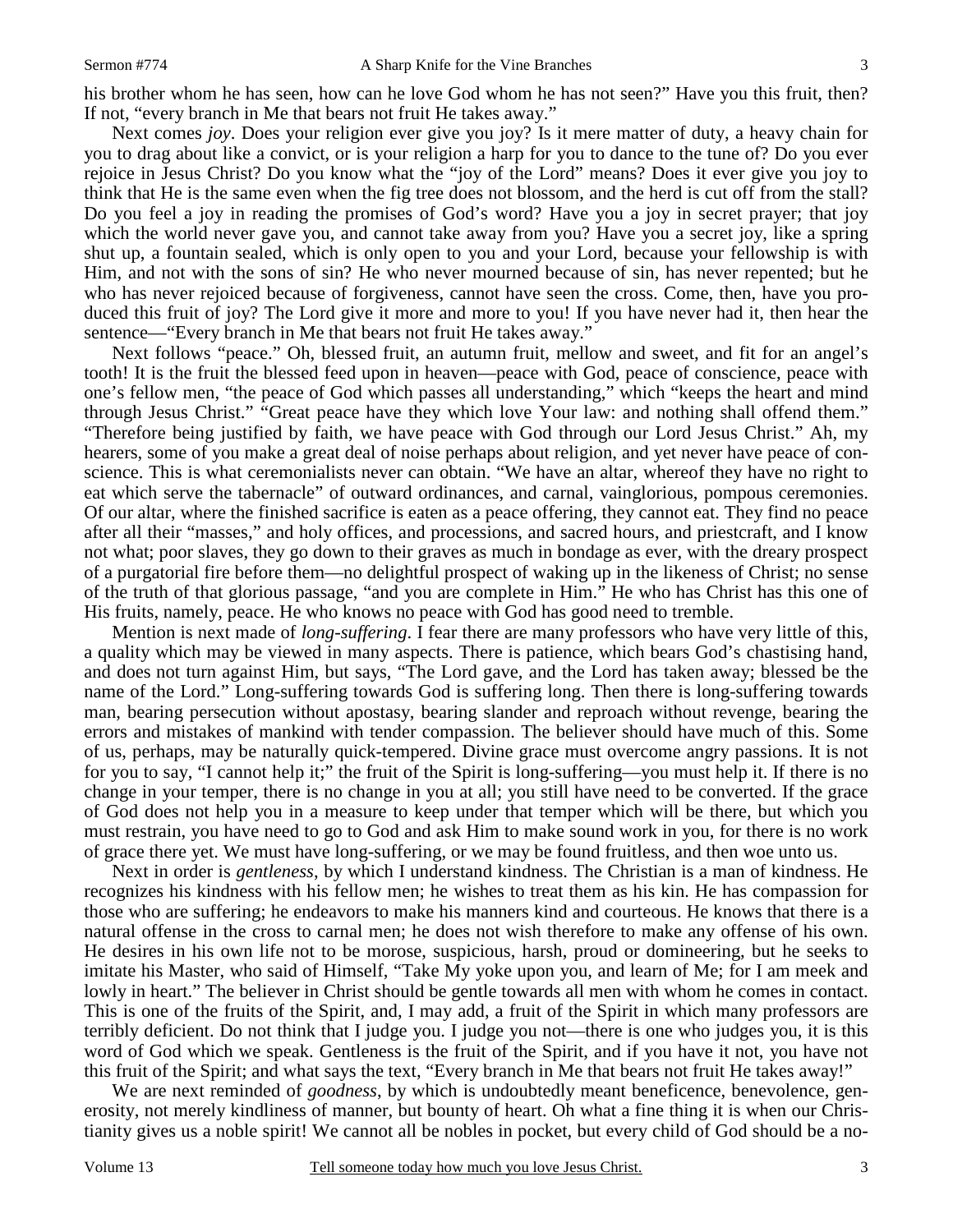his brother whom he has seen, how can he love God whom he has not seen?" Have you this fruit, then? If not, "every branch in Me that bears not fruit He takes away."

 Next comes *joy*. Does your religion ever give you joy? Is it mere matter of duty, a heavy chain for you to drag about like a convict, or is your religion a harp for you to dance to the tune of? Do you ever rejoice in Jesus Christ? Do you know what the "joy of the Lord" means? Does it ever give you joy to think that He is the same even when the fig tree does not blossom, and the herd is cut off from the stall? Do you feel a joy in reading the promises of God's word? Have you a joy in secret prayer; that joy which the world never gave you, and cannot take away from you? Have you a secret joy, like a spring shut up, a fountain sealed, which is only open to you and your Lord, because your fellowship is with Him, and not with the sons of sin? He who never mourned because of sin, has never repented; but he who has never rejoiced because of forgiveness, cannot have seen the cross. Come, then, have you produced this fruit of joy? The Lord give it more and more to you! If you have never had it, then hear the sentence—"Every branch in Me that bears not fruit He takes away."

 Next follows "peace." Oh, blessed fruit, an autumn fruit, mellow and sweet, and fit for an angel's tooth! It is the fruit the blessed feed upon in heaven—peace with God, peace of conscience, peace with one's fellow men, "the peace of God which passes all understanding," which "keeps the heart and mind through Jesus Christ." "Great peace have they which love Your law: and nothing shall offend them." "Therefore being justified by faith, we have peace with God through our Lord Jesus Christ." Ah, my hearers, some of you make a great deal of noise perhaps about religion, and yet never have peace of conscience. This is what ceremonialists never can obtain. "We have an altar, whereof they have no right to eat which serve the tabernacle" of outward ordinances, and carnal, vainglorious, pompous ceremonies. Of our altar, where the finished sacrifice is eaten as a peace offering, they cannot eat. They find no peace after all their "masses," and holy offices, and processions, and sacred hours, and priestcraft, and I know not what; poor slaves, they go down to their graves as much in bondage as ever, with the dreary prospect of a purgatorial fire before them—no delightful prospect of waking up in the likeness of Christ; no sense of the truth of that glorious passage, "and you are complete in Him." He who has Christ has this one of His fruits, namely, peace. He who knows no peace with God has good need to tremble.

 Mention is next made of *long-suffering*. I fear there are many professors who have very little of this, a quality which may be viewed in many aspects. There is patience, which bears God's chastising hand, and does not turn against Him, but says, "The Lord gave, and the Lord has taken away; blessed be the name of the Lord." Long-suffering towards God is suffering long. Then there is long-suffering towards man, bearing persecution without apostasy, bearing slander and reproach without revenge, bearing the errors and mistakes of mankind with tender compassion. The believer should have much of this. Some of us, perhaps, may be naturally quick-tempered. Divine grace must overcome angry passions. It is not for you to say, "I cannot help it;" the fruit of the Spirit is long-suffering—you must help it. If there is no change in your temper, there is no change in you at all; you still have need to be converted. If the grace of God does not help you in a measure to keep under that temper which will be there, but which you must restrain, you have need to go to God and ask Him to make sound work in you, for there is no work of grace there yet. We must have long-suffering, or we may be found fruitless, and then woe unto us.

 Next in order is *gentleness*, by which I understand kindness. The Christian is a man of kindness. He recognizes his kindness with his fellow men; he wishes to treat them as his kin. He has compassion for those who are suffering; he endeavors to make his manners kind and courteous. He knows that there is a natural offense in the cross to carnal men; he does not wish therefore to make any offense of his own. He desires in his own life not to be morose, suspicious, harsh, proud or domineering, but he seeks to imitate his Master, who said of Himself, "Take My yoke upon you, and learn of Me; for I am meek and lowly in heart." The believer in Christ should be gentle towards all men with whom he comes in contact. This is one of the fruits of the Spirit, and, I may add, a fruit of the Spirit in which many professors are terribly deficient. Do not think that I judge you. I judge you not—there is one who judges you, it is this word of God which we speak. Gentleness is the fruit of the Spirit, and if you have it not, you have not this fruit of the Spirit; and what says the text, "Every branch in Me that bears not fruit He takes away!"

 We are next reminded of *goodness*, by which is undoubtedly meant beneficence, benevolence, generosity, not merely kindliness of manner, but bounty of heart. Oh what a fine thing it is when our Christianity gives us a noble spirit! We cannot all be nobles in pocket, but every child of God should be a no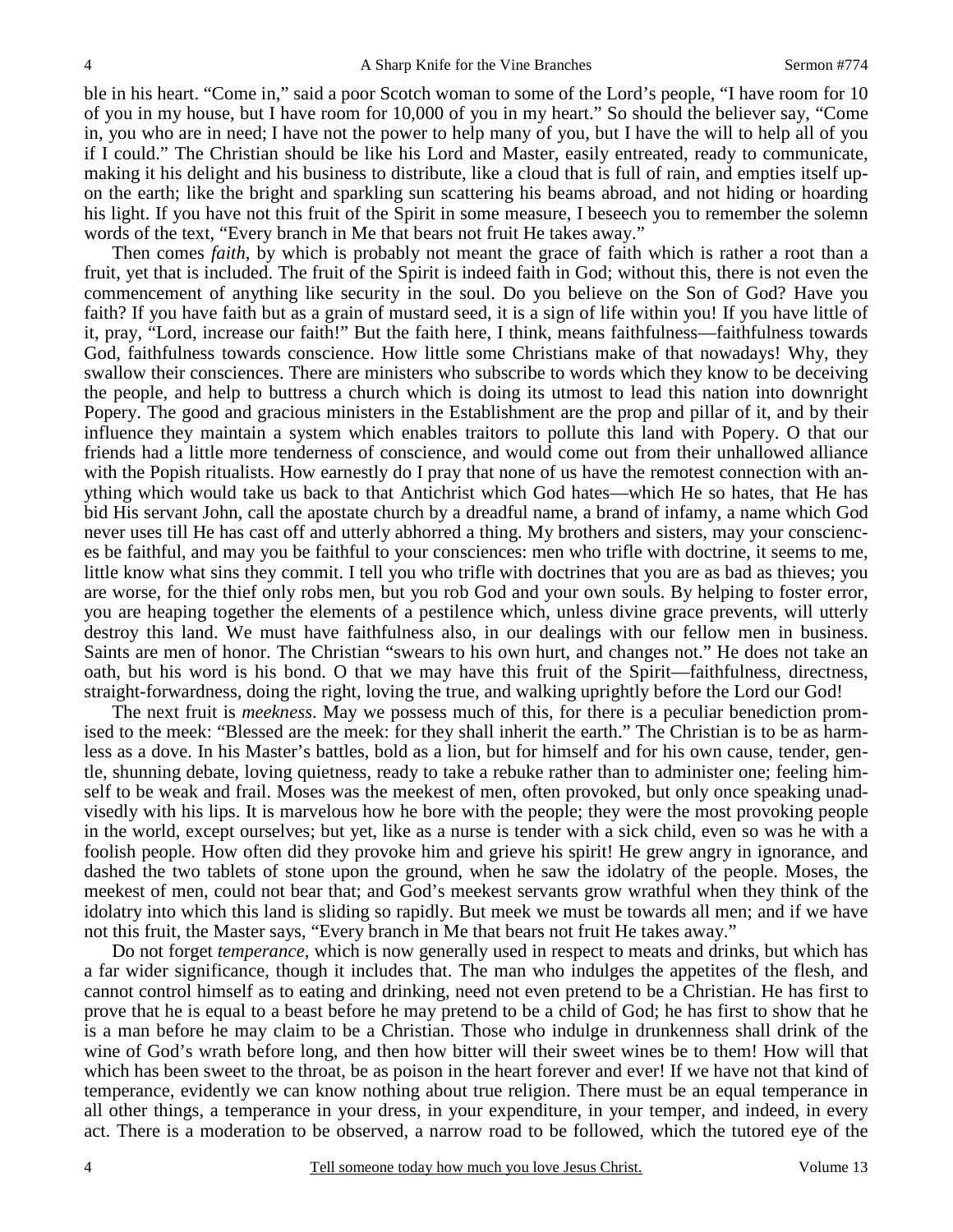ble in his heart. "Come in," said a poor Scotch woman to some of the Lord's people, "I have room for 10 of you in my house, but I have room for 10,000 of you in my heart." So should the believer say, "Come in, you who are in need; I have not the power to help many of you, but I have the will to help all of you if I could." The Christian should be like his Lord and Master, easily entreated, ready to communicate, making it his delight and his business to distribute, like a cloud that is full of rain, and empties itself upon the earth; like the bright and sparkling sun scattering his beams abroad, and not hiding or hoarding his light. If you have not this fruit of the Spirit in some measure, I beseech you to remember the solemn words of the text, "Every branch in Me that bears not fruit He takes away."

 Then comes *faith*, by which is probably not meant the grace of faith which is rather a root than a fruit, yet that is included. The fruit of the Spirit is indeed faith in God; without this, there is not even the commencement of anything like security in the soul. Do you believe on the Son of God? Have you faith? If you have faith but as a grain of mustard seed, it is a sign of life within you! If you have little of it, pray, "Lord, increase our faith!" But the faith here, I think, means faithfulness—faithfulness towards God, faithfulness towards conscience. How little some Christians make of that nowadays! Why, they swallow their consciences. There are ministers who subscribe to words which they know to be deceiving the people, and help to buttress a church which is doing its utmost to lead this nation into downright Popery. The good and gracious ministers in the Establishment are the prop and pillar of it, and by their influence they maintain a system which enables traitors to pollute this land with Popery. O that our friends had a little more tenderness of conscience, and would come out from their unhallowed alliance with the Popish ritualists. How earnestly do I pray that none of us have the remotest connection with anything which would take us back to that Antichrist which God hates—which He so hates, that He has bid His servant John, call the apostate church by a dreadful name, a brand of infamy, a name which God never uses till He has cast off and utterly abhorred a thing. My brothers and sisters, may your consciences be faithful, and may you be faithful to your consciences: men who trifle with doctrine, it seems to me, little know what sins they commit. I tell you who trifle with doctrines that you are as bad as thieves; you are worse, for the thief only robs men, but you rob God and your own souls. By helping to foster error, you are heaping together the elements of a pestilence which, unless divine grace prevents, will utterly destroy this land. We must have faithfulness also, in our dealings with our fellow men in business. Saints are men of honor. The Christian "swears to his own hurt, and changes not." He does not take an oath, but his word is his bond. O that we may have this fruit of the Spirit—faithfulness, directness, straight-forwardness, doing the right, loving the true, and walking uprightly before the Lord our God!

 The next fruit is *meekness*. May we possess much of this, for there is a peculiar benediction promised to the meek: "Blessed are the meek: for they shall inherit the earth." The Christian is to be as harmless as a dove. In his Master's battles, bold as a lion, but for himself and for his own cause, tender, gentle, shunning debate, loving quietness, ready to take a rebuke rather than to administer one; feeling himself to be weak and frail. Moses was the meekest of men, often provoked, but only once speaking unadvisedly with his lips. It is marvelous how he bore with the people; they were the most provoking people in the world, except ourselves; but yet, like as a nurse is tender with a sick child, even so was he with a foolish people. How often did they provoke him and grieve his spirit! He grew angry in ignorance, and dashed the two tablets of stone upon the ground, when he saw the idolatry of the people. Moses, the meekest of men, could not bear that; and God's meekest servants grow wrathful when they think of the idolatry into which this land is sliding so rapidly. But meek we must be towards all men; and if we have not this fruit, the Master says, "Every branch in Me that bears not fruit He takes away."

 Do not forget *temperance*, which is now generally used in respect to meats and drinks, but which has a far wider significance, though it includes that. The man who indulges the appetites of the flesh, and cannot control himself as to eating and drinking, need not even pretend to be a Christian. He has first to prove that he is equal to a beast before he may pretend to be a child of God; he has first to show that he is a man before he may claim to be a Christian. Those who indulge in drunkenness shall drink of the wine of God's wrath before long, and then how bitter will their sweet wines be to them! How will that which has been sweet to the throat, be as poison in the heart forever and ever! If we have not that kind of temperance, evidently we can know nothing about true religion. There must be an equal temperance in all other things, a temperance in your dress, in your expenditure, in your temper, and indeed, in every act. There is a moderation to be observed, a narrow road to be followed, which the tutored eye of the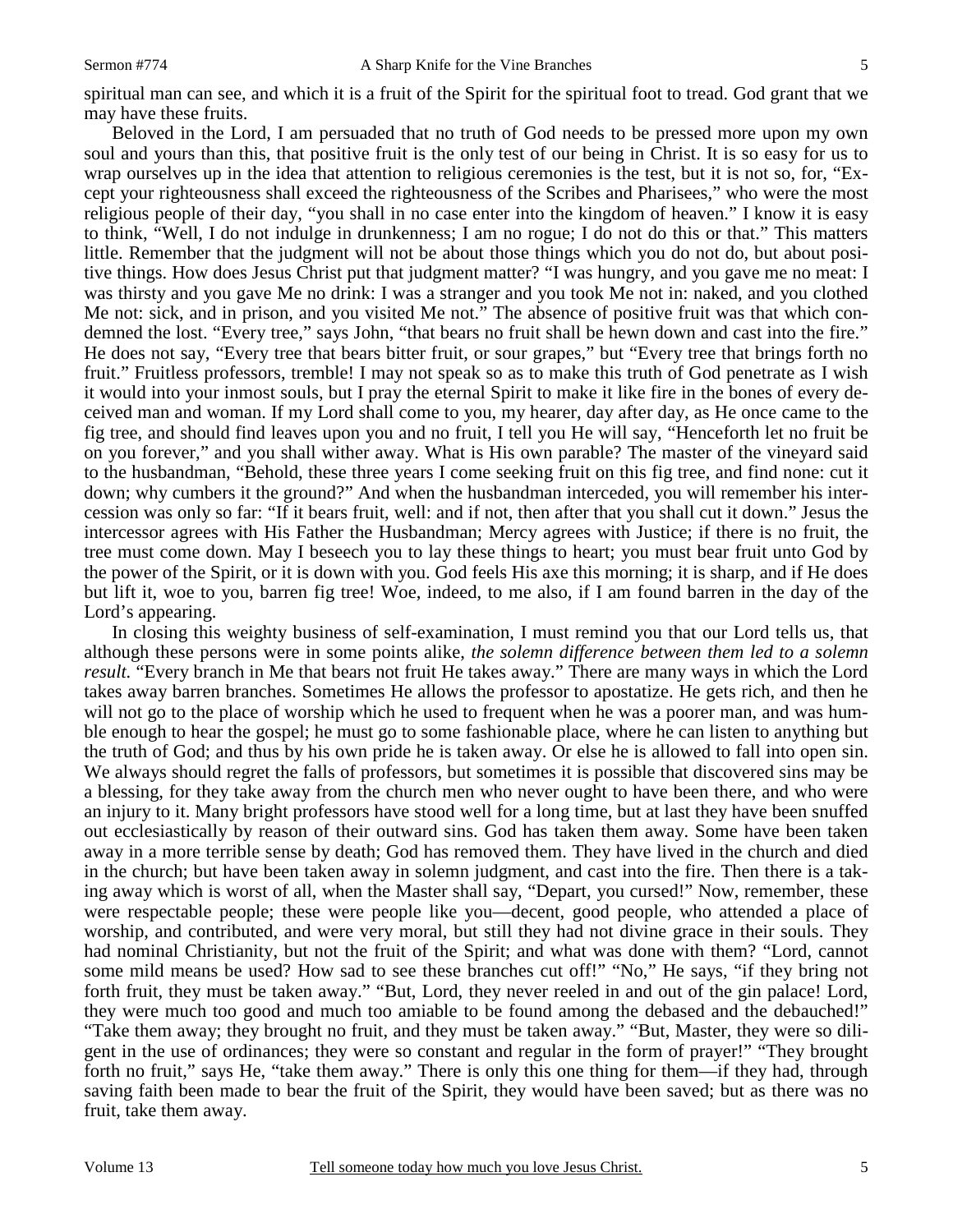spiritual man can see, and which it is a fruit of the Spirit for the spiritual foot to tread. God grant that we may have these fruits.

 Beloved in the Lord, I am persuaded that no truth of God needs to be pressed more upon my own soul and yours than this, that positive fruit is the only test of our being in Christ. It is so easy for us to wrap ourselves up in the idea that attention to religious ceremonies is the test, but it is not so, for, "Except your righteousness shall exceed the righteousness of the Scribes and Pharisees," who were the most religious people of their day, "you shall in no case enter into the kingdom of heaven." I know it is easy to think, "Well, I do not indulge in drunkenness; I am no rogue; I do not do this or that." This matters little. Remember that the judgment will not be about those things which you do not do, but about positive things. How does Jesus Christ put that judgment matter? "I was hungry, and you gave me no meat: I was thirsty and you gave Me no drink: I was a stranger and you took Me not in: naked, and you clothed Me not: sick, and in prison, and you visited Me not." The absence of positive fruit was that which condemned the lost. "Every tree," says John, "that bears no fruit shall be hewn down and cast into the fire." He does not say, "Every tree that bears bitter fruit, or sour grapes," but "Every tree that brings forth no fruit." Fruitless professors, tremble! I may not speak so as to make this truth of God penetrate as I wish it would into your inmost souls, but I pray the eternal Spirit to make it like fire in the bones of every deceived man and woman. If my Lord shall come to you, my hearer, day after day, as He once came to the fig tree, and should find leaves upon you and no fruit, I tell you He will say, "Henceforth let no fruit be on you forever," and you shall wither away. What is His own parable? The master of the vineyard said to the husbandman, "Behold, these three years I come seeking fruit on this fig tree, and find none: cut it down; why cumbers it the ground?" And when the husbandman interceded, you will remember his intercession was only so far: "If it bears fruit, well: and if not, then after that you shall cut it down." Jesus the intercessor agrees with His Father the Husbandman; Mercy agrees with Justice; if there is no fruit, the tree must come down. May I beseech you to lay these things to heart; you must bear fruit unto God by the power of the Spirit, or it is down with you. God feels His axe this morning; it is sharp, and if He does but lift it, woe to you, barren fig tree! Woe, indeed, to me also, if I am found barren in the day of the Lord's appearing.

 In closing this weighty business of self-examination, I must remind you that our Lord tells us, that although these persons were in some points alike, *the solemn difference between them led to a solemn result.* "Every branch in Me that bears not fruit He takes away." There are many ways in which the Lord takes away barren branches. Sometimes He allows the professor to apostatize. He gets rich, and then he will not go to the place of worship which he used to frequent when he was a poorer man, and was humble enough to hear the gospel; he must go to some fashionable place, where he can listen to anything but the truth of God; and thus by his own pride he is taken away. Or else he is allowed to fall into open sin. We always should regret the falls of professors, but sometimes it is possible that discovered sins may be a blessing, for they take away from the church men who never ought to have been there, and who were an injury to it. Many bright professors have stood well for a long time, but at last they have been snuffed out ecclesiastically by reason of their outward sins. God has taken them away. Some have been taken away in a more terrible sense by death; God has removed them. They have lived in the church and died in the church; but have been taken away in solemn judgment, and cast into the fire. Then there is a taking away which is worst of all, when the Master shall say, "Depart, you cursed!" Now, remember, these were respectable people; these were people like you—decent, good people, who attended a place of worship, and contributed, and were very moral, but still they had not divine grace in their souls. They had nominal Christianity, but not the fruit of the Spirit; and what was done with them? "Lord, cannot some mild means be used? How sad to see these branches cut off!" "No," He says, "if they bring not forth fruit, they must be taken away." "But, Lord, they never reeled in and out of the gin palace! Lord, they were much too good and much too amiable to be found among the debased and the debauched!" "Take them away; they brought no fruit, and they must be taken away." "But, Master, they were so diligent in the use of ordinances; they were so constant and regular in the form of prayer!" "They brought forth no fruit," says He, "take them away." There is only this one thing for them—if they had, through saving faith been made to bear the fruit of the Spirit, they would have been saved; but as there was no fruit, take them away.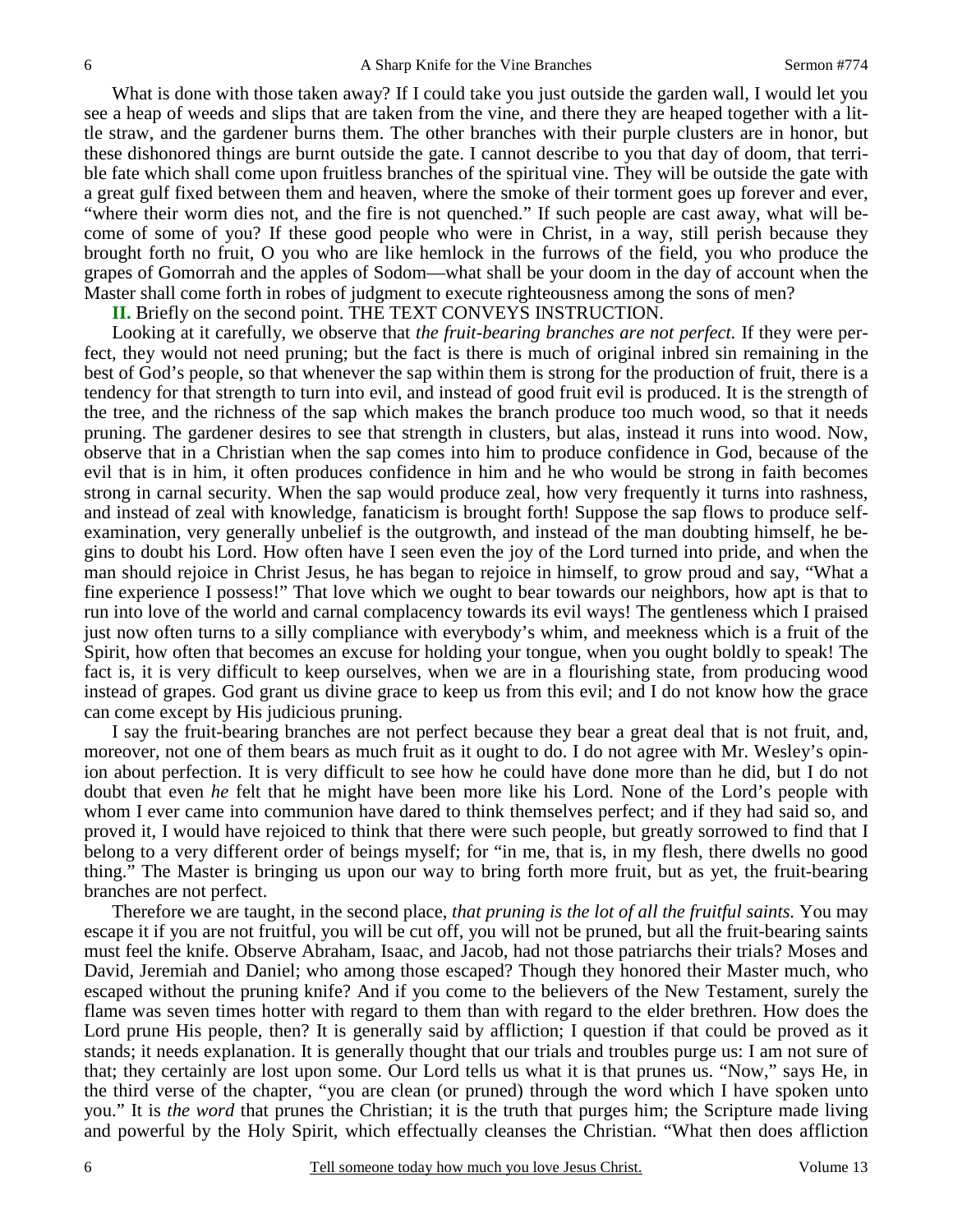What is done with those taken away? If I could take you just outside the garden wall, I would let you see a heap of weeds and slips that are taken from the vine, and there they are heaped together with a little straw, and the gardener burns them. The other branches with their purple clusters are in honor, but these dishonored things are burnt outside the gate. I cannot describe to you that day of doom, that terrible fate which shall come upon fruitless branches of the spiritual vine. They will be outside the gate with a great gulf fixed between them and heaven, where the smoke of their torment goes up forever and ever, "where their worm dies not, and the fire is not quenched." If such people are cast away, what will become of some of you? If these good people who were in Christ, in a way, still perish because they brought forth no fruit, O you who are like hemlock in the furrows of the field, you who produce the grapes of Gomorrah and the apples of Sodom—what shall be your doom in the day of account when the Master shall come forth in robes of judgment to execute righteousness among the sons of men?

**II.** Briefly on the second point. THE TEXT CONVEYS INSTRUCTION.

 Looking at it carefully, we observe that *the fruit-bearing branches are not perfect.* If they were perfect, they would not need pruning; but the fact is there is much of original inbred sin remaining in the best of God's people, so that whenever the sap within them is strong for the production of fruit, there is a tendency for that strength to turn into evil, and instead of good fruit evil is produced. It is the strength of the tree, and the richness of the sap which makes the branch produce too much wood, so that it needs pruning. The gardener desires to see that strength in clusters, but alas, instead it runs into wood. Now, observe that in a Christian when the sap comes into him to produce confidence in God, because of the evil that is in him, it often produces confidence in him and he who would be strong in faith becomes strong in carnal security. When the sap would produce zeal, how very frequently it turns into rashness, and instead of zeal with knowledge, fanaticism is brought forth! Suppose the sap flows to produce selfexamination, very generally unbelief is the outgrowth, and instead of the man doubting himself, he begins to doubt his Lord. How often have I seen even the joy of the Lord turned into pride, and when the man should rejoice in Christ Jesus, he has began to rejoice in himself, to grow proud and say, "What a fine experience I possess!" That love which we ought to bear towards our neighbors, how apt is that to run into love of the world and carnal complacency towards its evil ways! The gentleness which I praised just now often turns to a silly compliance with everybody's whim, and meekness which is a fruit of the Spirit, how often that becomes an excuse for holding your tongue, when you ought boldly to speak! The fact is, it is very difficult to keep ourselves, when we are in a flourishing state, from producing wood instead of grapes. God grant us divine grace to keep us from this evil; and I do not know how the grace can come except by His judicious pruning.

I say the fruit-bearing branches are not perfect because they bear a great deal that is not fruit, and, moreover, not one of them bears as much fruit as it ought to do. I do not agree with Mr. Wesley's opinion about perfection. It is very difficult to see how he could have done more than he did, but I do not doubt that even *he* felt that he might have been more like his Lord. None of the Lord's people with whom I ever came into communion have dared to think themselves perfect; and if they had said so, and proved it, I would have rejoiced to think that there were such people, but greatly sorrowed to find that I belong to a very different order of beings myself; for "in me, that is, in my flesh, there dwells no good thing." The Master is bringing us upon our way to bring forth more fruit, but as yet, the fruit-bearing branches are not perfect.

 Therefore we are taught, in the second place, *that pruning is the lot of all the fruitful saints.* You may escape it if you are not fruitful, you will be cut off, you will not be pruned, but all the fruit-bearing saints must feel the knife. Observe Abraham, Isaac, and Jacob, had not those patriarchs their trials? Moses and David, Jeremiah and Daniel; who among those escaped? Though they honored their Master much, who escaped without the pruning knife? And if you come to the believers of the New Testament, surely the flame was seven times hotter with regard to them than with regard to the elder brethren. How does the Lord prune His people, then? It is generally said by affliction; I question if that could be proved as it stands; it needs explanation. It is generally thought that our trials and troubles purge us: I am not sure of that; they certainly are lost upon some. Our Lord tells us what it is that prunes us. "Now," says He, in the third verse of the chapter, "you are clean (or pruned) through the word which I have spoken unto you." It is *the word* that prunes the Christian; it is the truth that purges him; the Scripture made living and powerful by the Holy Spirit, which effectually cleanses the Christian. "What then does affliction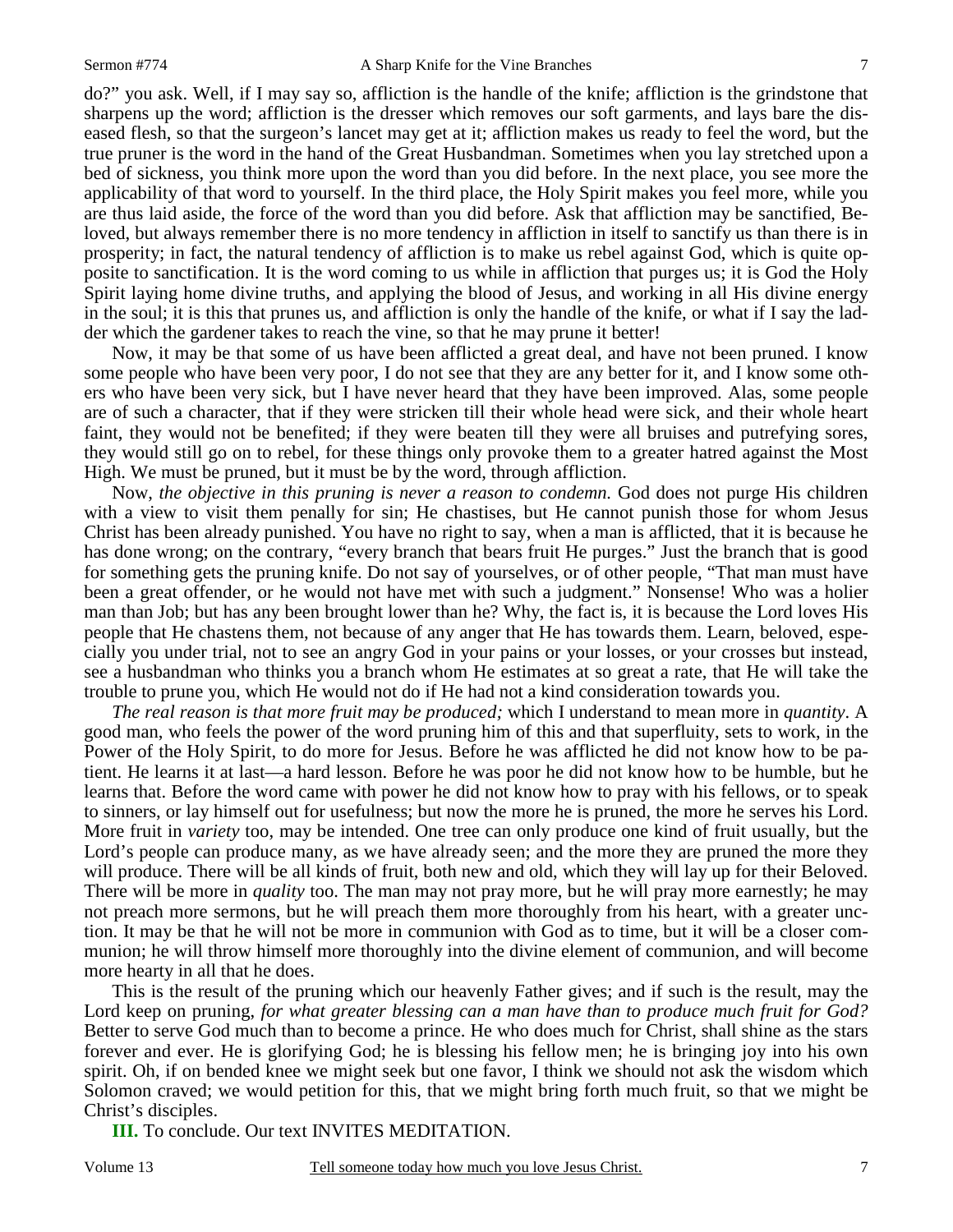do?" you ask. Well, if I may say so, affliction is the handle of the knife; affliction is the grindstone that sharpens up the word; affliction is the dresser which removes our soft garments, and lays bare the diseased flesh, so that the surgeon's lancet may get at it; affliction makes us ready to feel the word, but the true pruner is the word in the hand of the Great Husbandman. Sometimes when you lay stretched upon a bed of sickness, you think more upon the word than you did before. In the next place, you see more the applicability of that word to yourself. In the third place, the Holy Spirit makes you feel more, while you are thus laid aside, the force of the word than you did before. Ask that affliction may be sanctified, Beloved, but always remember there is no more tendency in affliction in itself to sanctify us than there is in

prosperity; in fact, the natural tendency of affliction is to make us rebel against God, which is quite opposite to sanctification. It is the word coming to us while in affliction that purges us; it is God the Holy Spirit laying home divine truths, and applying the blood of Jesus, and working in all His divine energy in the soul; it is this that prunes us, and affliction is only the handle of the knife, or what if I say the ladder which the gardener takes to reach the vine, so that he may prune it better!

 Now, it may be that some of us have been afflicted a great deal, and have not been pruned. I know some people who have been very poor, I do not see that they are any better for it, and I know some others who have been very sick, but I have never heard that they have been improved. Alas, some people are of such a character, that if they were stricken till their whole head were sick, and their whole heart faint, they would not be benefited; if they were beaten till they were all bruises and putrefying sores, they would still go on to rebel, for these things only provoke them to a greater hatred against the Most High. We must be pruned, but it must be by the word, through affliction.

 Now, *the objective in this pruning is never a reason to condemn.* God does not purge His children with a view to visit them penally for sin; He chastises, but He cannot punish those for whom Jesus Christ has been already punished. You have no right to say, when a man is afflicted, that it is because he has done wrong; on the contrary, "every branch that bears fruit He purges." Just the branch that is good for something gets the pruning knife. Do not say of yourselves, or of other people, "That man must have been a great offender, or he would not have met with such a judgment." Nonsense! Who was a holier man than Job; but has any been brought lower than he? Why, the fact is, it is because the Lord loves His people that He chastens them, not because of any anger that He has towards them. Learn, beloved, especially you under trial, not to see an angry God in your pains or your losses, or your crosses but instead, see a husbandman who thinks you a branch whom He estimates at so great a rate, that He will take the trouble to prune you, which He would not do if He had not a kind consideration towards you.

*The real reason is that more fruit may be produced;* which I understand to mean more in *quantity*. A good man, who feels the power of the word pruning him of this and that superfluity, sets to work, in the Power of the Holy Spirit, to do more for Jesus. Before he was afflicted he did not know how to be patient. He learns it at last—a hard lesson. Before he was poor he did not know how to be humble, but he learns that. Before the word came with power he did not know how to pray with his fellows, or to speak to sinners, or lay himself out for usefulness; but now the more he is pruned, the more he serves his Lord. More fruit in *variety* too, may be intended. One tree can only produce one kind of fruit usually, but the Lord's people can produce many, as we have already seen; and the more they are pruned the more they will produce. There will be all kinds of fruit, both new and old, which they will lay up for their Beloved. There will be more in *quality* too. The man may not pray more, but he will pray more earnestly; he may not preach more sermons, but he will preach them more thoroughly from his heart, with a greater unction. It may be that he will not be more in communion with God as to time, but it will be a closer communion; he will throw himself more thoroughly into the divine element of communion, and will become more hearty in all that he does.

 This is the result of the pruning which our heavenly Father gives; and if such is the result, may the Lord keep on pruning, *for what greater blessing can a man have than to produce much fruit for God?* Better to serve God much than to become a prince. He who does much for Christ, shall shine as the stars forever and ever. He is glorifying God; he is blessing his fellow men; he is bringing joy into his own spirit. Oh, if on bended knee we might seek but one favor, I think we should not ask the wisdom which Solomon craved; we would petition for this, that we might bring forth much fruit, so that we might be Christ's disciples.

**III.** To conclude. Our text INVITES MEDITATION.